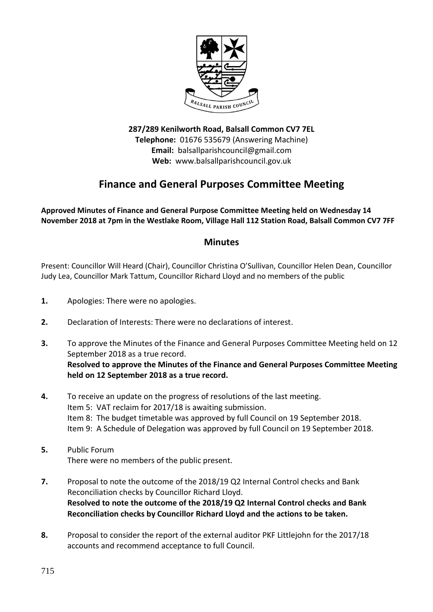

**287/289 Kenilworth Road, Balsall Common CV7 7EL Telephone:** 01676 535679 (Answering Machine) **Email:** balsallparishcouncil@gmail.com **Web:** www.balsallparishcouncil.gov.uk

## **Finance and General Purposes Committee Meeting**

**Approved Minutes of Finance and General Purpose Committee Meeting held on Wednesday 14 November 2018 at 7pm in the Westlake Room, Village Hall 112 Station Road, Balsall Common CV7 7FF**

## **Minutes**

Present: Councillor Will Heard (Chair), Councillor Christina O'Sullivan, Councillor Helen Dean, Councillor Judy Lea, Councillor Mark Tattum, Councillor Richard Lloyd and no members of the public

- **1.** Apologies: There were no apologies.
- **2.** Declaration of Interests: There were no declarations of interest.
- **3.** To approve the Minutes of the Finance and General Purposes Committee Meeting held on 12 September 2018 as a true record. **Resolved to approve the Minutes of the Finance and General Purposes Committee Meeting held on 12 September 2018 as a true record.**
- **4.** To receive an update on the progress of resolutions of the last meeting. Item 5: VAT reclaim for 2017/18 is awaiting submission. Item 8: The budget timetable was approved by full Council on 19 September 2018. Item 9: A Schedule of Delegation was approved by full Council on 19 September 2018.
- **5.** Public Forum There were no members of the public present.
- **7.** Proposal to note the outcome of the 2018/19 Q2 Internal Control checks and Bank Reconciliation checks by Councillor Richard Lloyd. **Resolved to note the outcome of the 2018/19 Q2 Internal Control checks and Bank Reconciliation checks by Councillor Richard Lloyd and the actions to be taken.**
- **8.** Proposal to consider the report of the external auditor PKF Littlejohn for the 2017/18 accounts and recommend acceptance to full Council.